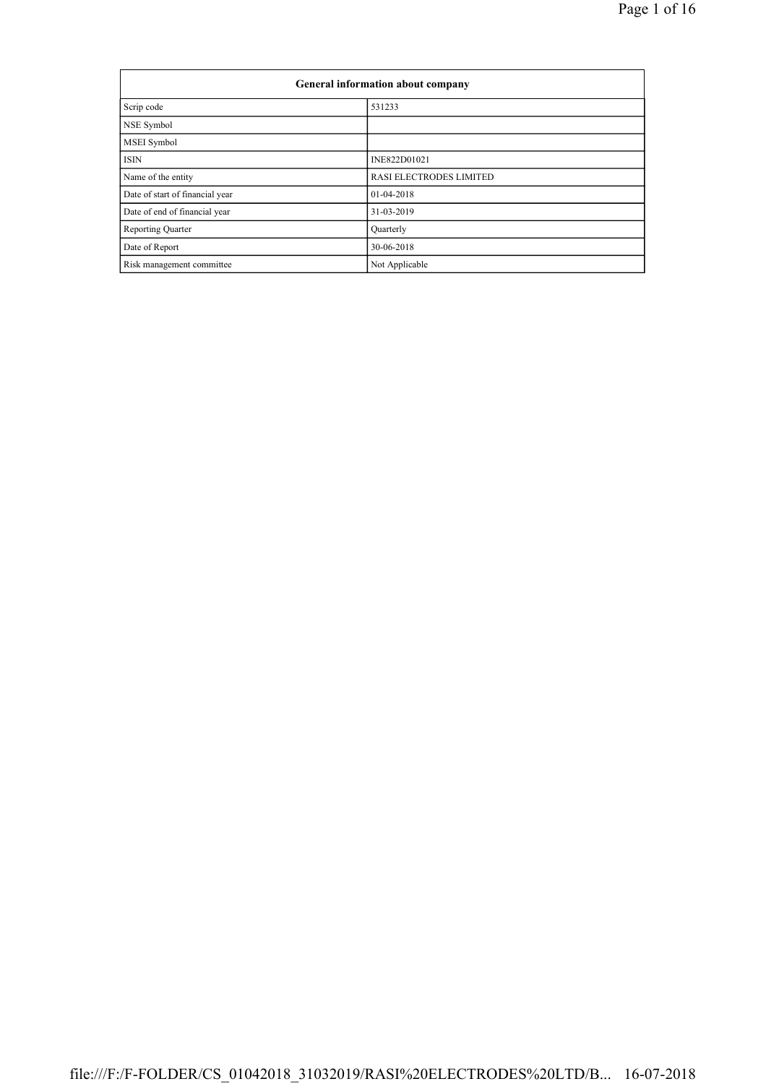| General information about company |                         |  |  |  |
|-----------------------------------|-------------------------|--|--|--|
| Scrip code                        | 531233                  |  |  |  |
| NSE Symbol                        |                         |  |  |  |
| <b>MSEI</b> Symbol                |                         |  |  |  |
| <b>ISIN</b>                       | INE822D01021            |  |  |  |
| Name of the entity                | RASI ELECTRODES LIMITED |  |  |  |
| Date of start of financial year   | 01-04-2018              |  |  |  |
| Date of end of financial year     | 31-03-2019              |  |  |  |
| <b>Reporting Quarter</b>          | Quarterly               |  |  |  |
| Date of Report                    | 30-06-2018              |  |  |  |
| Risk management committee         | Not Applicable          |  |  |  |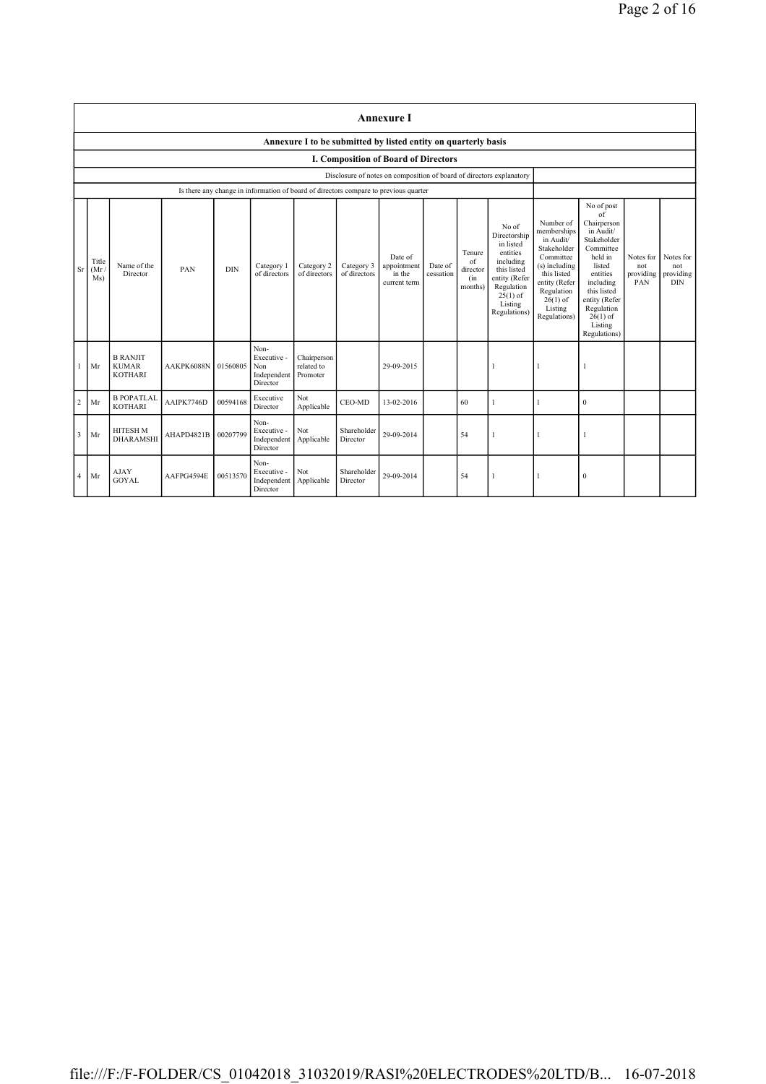|                |                                                                |                                                   |            |            |                                                       |                                       |                            | <b>Annexure I</b>                                                                    |                      |                                            |                                                                                                                                                    |                                                                                                                                                                           |                                                                                                                                                                                                               |                                      |                                             |
|----------------|----------------------------------------------------------------|---------------------------------------------------|------------|------------|-------------------------------------------------------|---------------------------------------|----------------------------|--------------------------------------------------------------------------------------|----------------------|--------------------------------------------|----------------------------------------------------------------------------------------------------------------------------------------------------|---------------------------------------------------------------------------------------------------------------------------------------------------------------------------|---------------------------------------------------------------------------------------------------------------------------------------------------------------------------------------------------------------|--------------------------------------|---------------------------------------------|
|                | Annexure I to be submitted by listed entity on quarterly basis |                                                   |            |            |                                                       |                                       |                            |                                                                                      |                      |                                            |                                                                                                                                                    |                                                                                                                                                                           |                                                                                                                                                                                                               |                                      |                                             |
|                | I. Composition of Board of Directors                           |                                                   |            |            |                                                       |                                       |                            |                                                                                      |                      |                                            |                                                                                                                                                    |                                                                                                                                                                           |                                                                                                                                                                                                               |                                      |                                             |
|                |                                                                |                                                   |            |            |                                                       |                                       |                            | Disclosure of notes on composition of board of directors explanatory                 |                      |                                            |                                                                                                                                                    |                                                                                                                                                                           |                                                                                                                                                                                                               |                                      |                                             |
|                |                                                                |                                                   |            |            |                                                       |                                       |                            | Is there any change in information of board of directors compare to previous quarter |                      |                                            |                                                                                                                                                    |                                                                                                                                                                           |                                                                                                                                                                                                               |                                      |                                             |
| <b>Sr</b>      | Title<br>(Mr)<br>Ms)                                           | Name of the<br><b>Director</b>                    | PAN        | <b>DIN</b> | Category 1<br>of directors                            | Category 2<br>of directors            | Category 3<br>of directors | Date of<br>appointment<br>in the<br>current term                                     | Date of<br>cessation | Tenure<br>of<br>director<br>(in<br>months) | No of<br>Directorship<br>in listed<br>entities<br>including<br>this listed<br>entity (Refer<br>Regulation<br>$25(1)$ of<br>Listing<br>Regulations) | Number of<br>memberships<br>in Audit/<br>Stakeholder<br>Committee<br>(s) including<br>this listed<br>entity (Refer<br>Regulation<br>$26(1)$ of<br>Listing<br>Regulations) | No of post<br>of<br>Chairperson<br>in Audit/<br>Stakeholder<br>Committee<br>held in<br>listed<br>entities<br>including<br>this listed<br>entity (Refer<br>Regulation<br>$26(1)$ of<br>Listing<br>Regulations) | Notes for<br>not<br>providing<br>PAN | Notes for<br>not<br>providing<br><b>DIN</b> |
|                | Mr                                                             | <b>B RANJIT</b><br><b>KUMAR</b><br><b>KOTHARI</b> | AAKPK6088N | 01560805   | Non-<br>Executive -<br>Non<br>Independent<br>Director | Chairperson<br>related to<br>Promoter |                            | 29-09-2015                                                                           |                      |                                            | 1                                                                                                                                                  |                                                                                                                                                                           |                                                                                                                                                                                                               |                                      |                                             |
| $\overline{2}$ | Mr                                                             | <b>B POPATLAL</b><br><b>KOTHARI</b>               | AAIPK7746D | 00594168   | Executive<br>Director                                 | Not<br>Applicable                     | CEO-MD                     | 13-02-2016                                                                           |                      | 60                                         | $\mathbf{1}$                                                                                                                                       |                                                                                                                                                                           | $\mathbf{0}$                                                                                                                                                                                                  |                                      |                                             |
| 3              | Mr                                                             | <b>HITESH M</b><br><b>DHARAMSHI</b>               | AHAPD4821B | 00207799   | Non-<br>Executive -<br>Independent<br>Director        | Not<br>Applicable                     | Shareholder<br>Director    | 29-09-2014                                                                           |                      | 54                                         | 1                                                                                                                                                  |                                                                                                                                                                           |                                                                                                                                                                                                               |                                      |                                             |
| $\overline{4}$ | Mr                                                             | <b>AJAY</b><br><b>GOYAL</b>                       | AAFPG4594E | 00513570   | Non-<br>Executive -<br>Independent<br>Director        | Not<br>Applicable                     | Shareholder<br>Director    | 29-09-2014                                                                           |                      | 54                                         | 1                                                                                                                                                  |                                                                                                                                                                           | $\theta$                                                                                                                                                                                                      |                                      |                                             |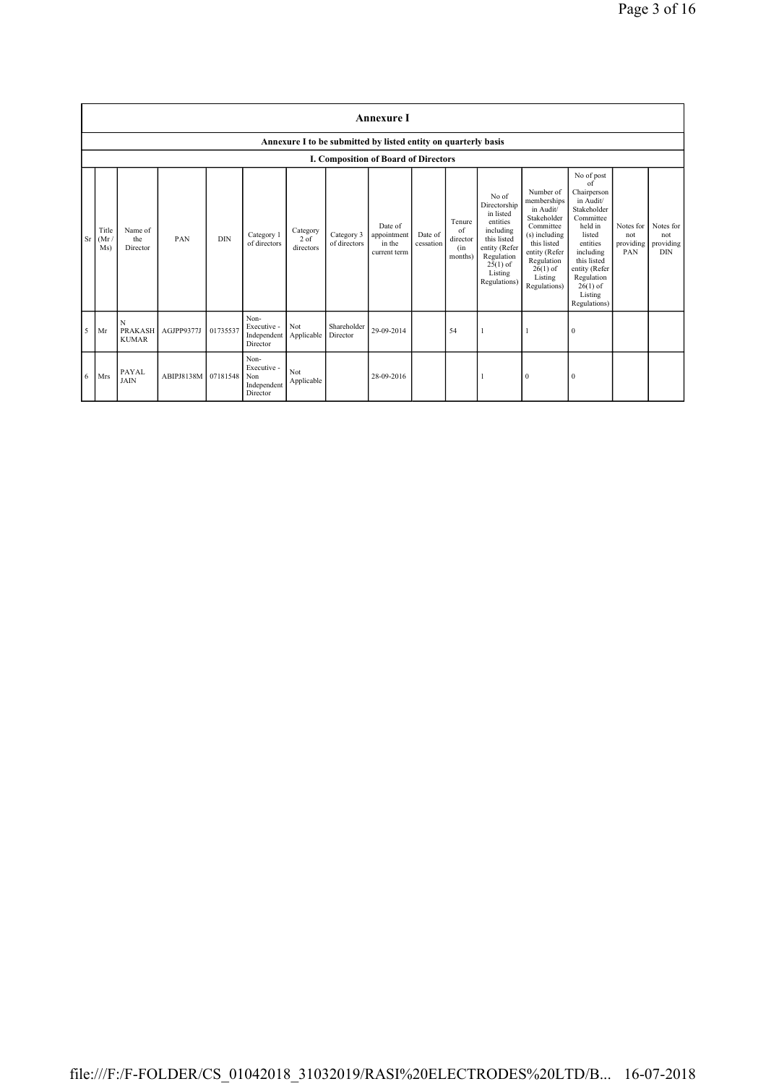|           | <b>Annexure I</b>    |                             |                     |            |                                                       |                                 |                            |                                                                |                      |                                            |                                                                                                                                                    |                                                                                                                                                                           |                                                                                                                                                                                                               |                                      |                                             |
|-----------|----------------------|-----------------------------|---------------------|------------|-------------------------------------------------------|---------------------------------|----------------------------|----------------------------------------------------------------|----------------------|--------------------------------------------|----------------------------------------------------------------------------------------------------------------------------------------------------|---------------------------------------------------------------------------------------------------------------------------------------------------------------------------|---------------------------------------------------------------------------------------------------------------------------------------------------------------------------------------------------------------|--------------------------------------|---------------------------------------------|
|           |                      |                             |                     |            |                                                       |                                 |                            | Annexure I to be submitted by listed entity on quarterly basis |                      |                                            |                                                                                                                                                    |                                                                                                                                                                           |                                                                                                                                                                                                               |                                      |                                             |
|           |                      |                             |                     |            |                                                       |                                 |                            | I. Composition of Board of Directors                           |                      |                                            |                                                                                                                                                    |                                                                                                                                                                           |                                                                                                                                                                                                               |                                      |                                             |
| <b>Sr</b> | Title<br>(Mr)<br>Ms) | Name of<br>the<br>Director  | PAN                 | <b>DIN</b> | Category 1<br>of directors                            | Category<br>$2$ of<br>directors | Category 3<br>of directors | Date of<br>appointment<br>in the<br>current term               | Date of<br>cessation | Tenure<br>of<br>director<br>(in<br>months) | No of<br>Directorship<br>in listed<br>entities<br>including<br>this listed<br>entity (Refer<br>Regulation<br>$25(1)$ of<br>Listing<br>Regulations) | Number of<br>memberships<br>in Audit/<br>Stakeholder<br>Committee<br>(s) including<br>this listed<br>entity (Refer<br>Regulation<br>$26(1)$ of<br>Listing<br>Regulations) | No of post<br>of<br>Chairperson<br>in Audit/<br>Stakeholder<br>Committee<br>held in<br>listed<br>entities<br>including<br>this listed<br>entity (Refer<br>Regulation<br>$26(1)$ of<br>Listing<br>Regulations) | Notes for<br>not<br>providing<br>PAN | Notes for<br>not<br>providing<br><b>DIN</b> |
| 5         | Mr                   | N<br><b>KUMAR</b>           | PRAKASH AGJPP9377J  | 01735537   | Non-<br>Executive -<br>Independent<br>Director        | Not<br>Applicable               | Shareholder<br>Director    | 29-09-2014                                                     |                      | 54                                         |                                                                                                                                                    |                                                                                                                                                                           | $\theta$                                                                                                                                                                                                      |                                      |                                             |
| 6         | Mrs                  | <b>PAYAL</b><br><b>JAIN</b> | ABIPJ8138M 07181548 |            | Non-<br>Executive -<br>Non<br>Independent<br>Director | Not<br>Applicable               |                            | 28-09-2016                                                     |                      |                                            |                                                                                                                                                    | $\mathbf{0}$                                                                                                                                                              | $\theta$                                                                                                                                                                                                      |                                      |                                             |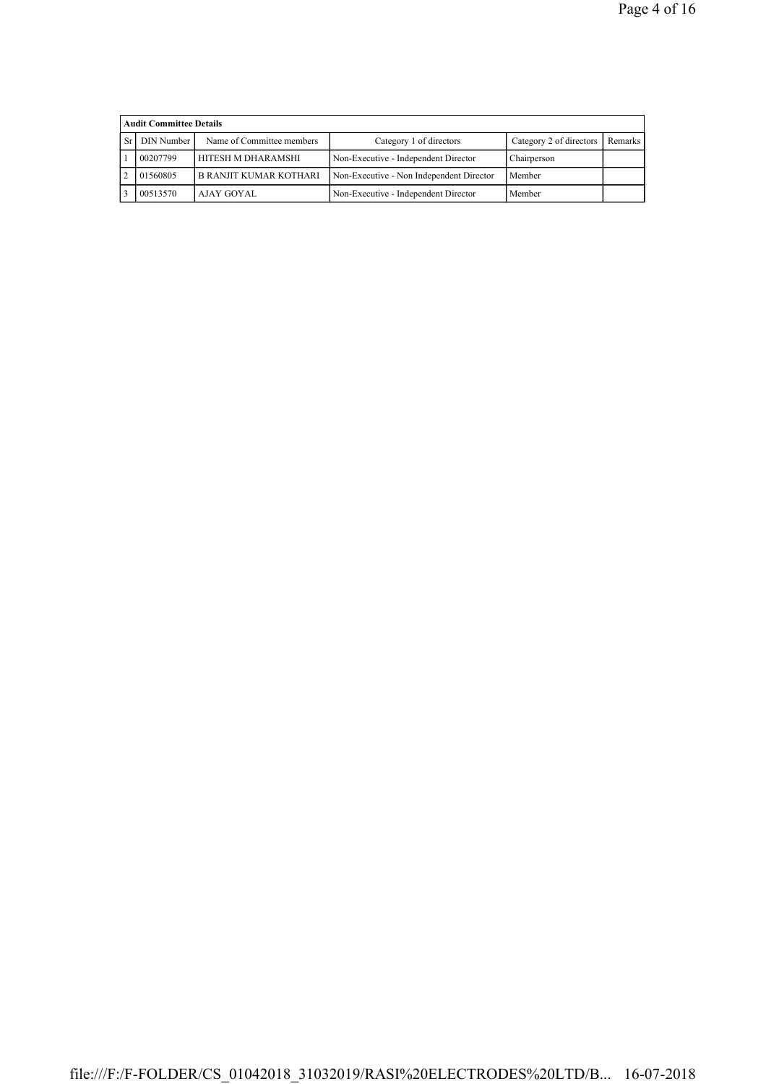|     | <b>Audit Committee Details</b> |                           |                                          |                         |         |  |  |  |
|-----|--------------------------------|---------------------------|------------------------------------------|-------------------------|---------|--|--|--|
| Sr. | DIN Number                     | Name of Committee members | Category 1 of directors                  | Category 2 of directors | Remarks |  |  |  |
|     | 00207799                       | HITESH M DHARAMSHI        | Non-Executive - Independent Director     | Chairperson             |         |  |  |  |
|     | 01560805                       | B RANJIT KUMAR KOTHARI    | Non-Executive - Non Independent Director | Member                  |         |  |  |  |
|     | 00513570                       | AJAY GOYAL                | Non-Executive - Independent Director     | Member                  |         |  |  |  |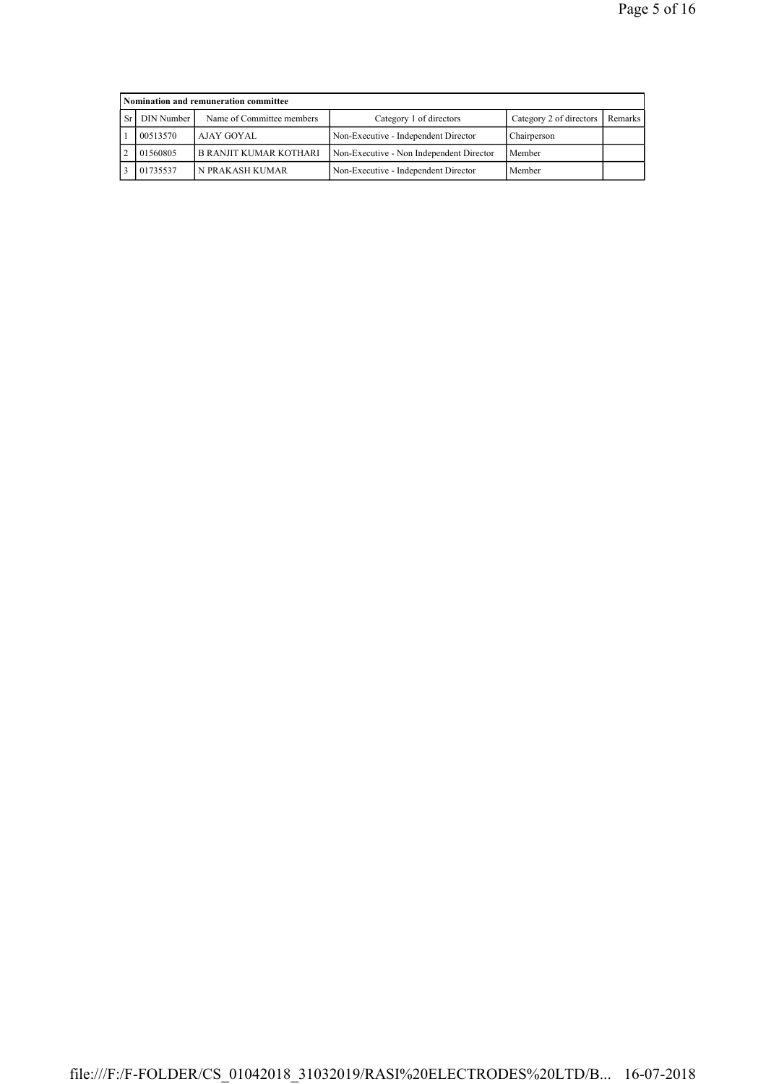|           | Nomination and remuneration committee |                           |                                          |                         |         |  |  |  |  |
|-----------|---------------------------------------|---------------------------|------------------------------------------|-------------------------|---------|--|--|--|--|
| <b>Sr</b> | DIN Number                            | Name of Committee members | Category 1 of directors                  | Category 2 of directors | Remarks |  |  |  |  |
|           | 00513570                              | AJAY GOYAL                | Non-Executive - Independent Director     | Chairperson             |         |  |  |  |  |
|           | 01560805                              | B RANJIT KUMAR KOTHARI    | Non-Executive - Non Independent Director | Member                  |         |  |  |  |  |
|           | 01735537                              | N PRAKASH KUMAR           | Non-Executive - Independent Director     | Member                  |         |  |  |  |  |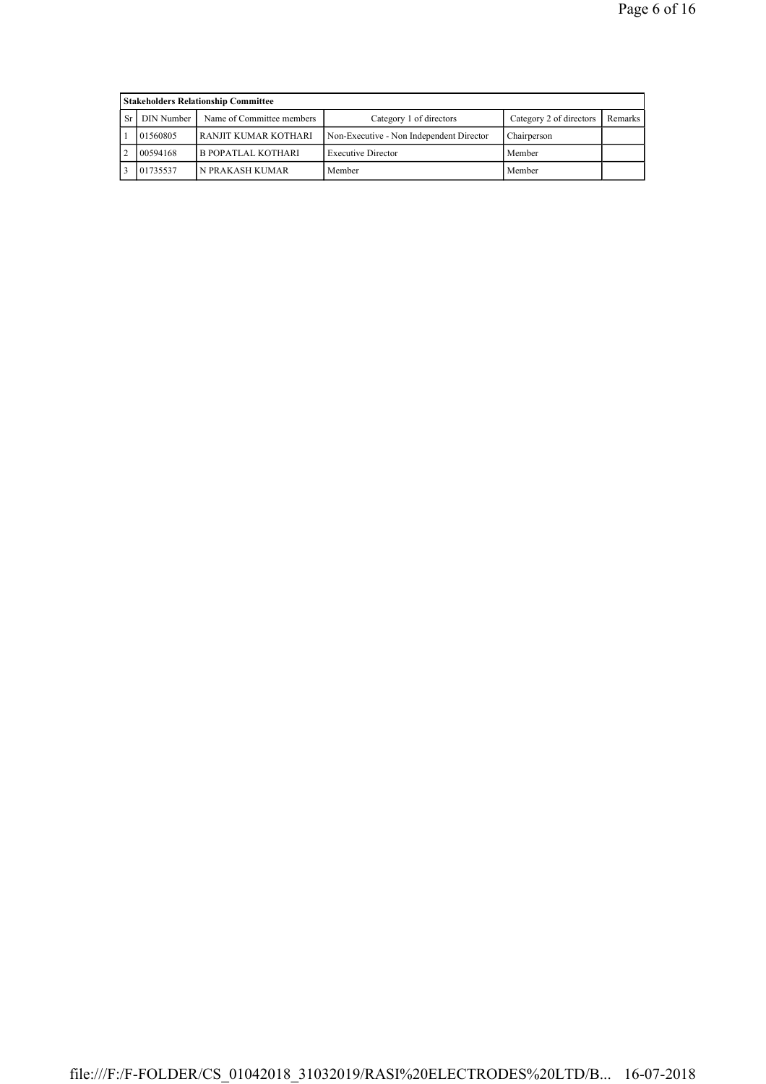|           | <b>Stakeholders Relationship Committee</b> |                           |                                          |                         |         |  |  |  |
|-----------|--------------------------------------------|---------------------------|------------------------------------------|-------------------------|---------|--|--|--|
| <b>Sr</b> | DIN Number                                 | Name of Committee members | Category 1 of directors                  | Category 2 of directors | Remarks |  |  |  |
|           | 01560805                                   | RANJIT KUMAR KOTHARI      | Non-Executive - Non Independent Director | Chairperson             |         |  |  |  |
|           | 00594168                                   | <b>B POPATLAL KOTHARI</b> | <b>Executive Director</b>                | Member                  |         |  |  |  |
|           | 01735537                                   | N PRAKASH KUMAR           | Member                                   | Member                  |         |  |  |  |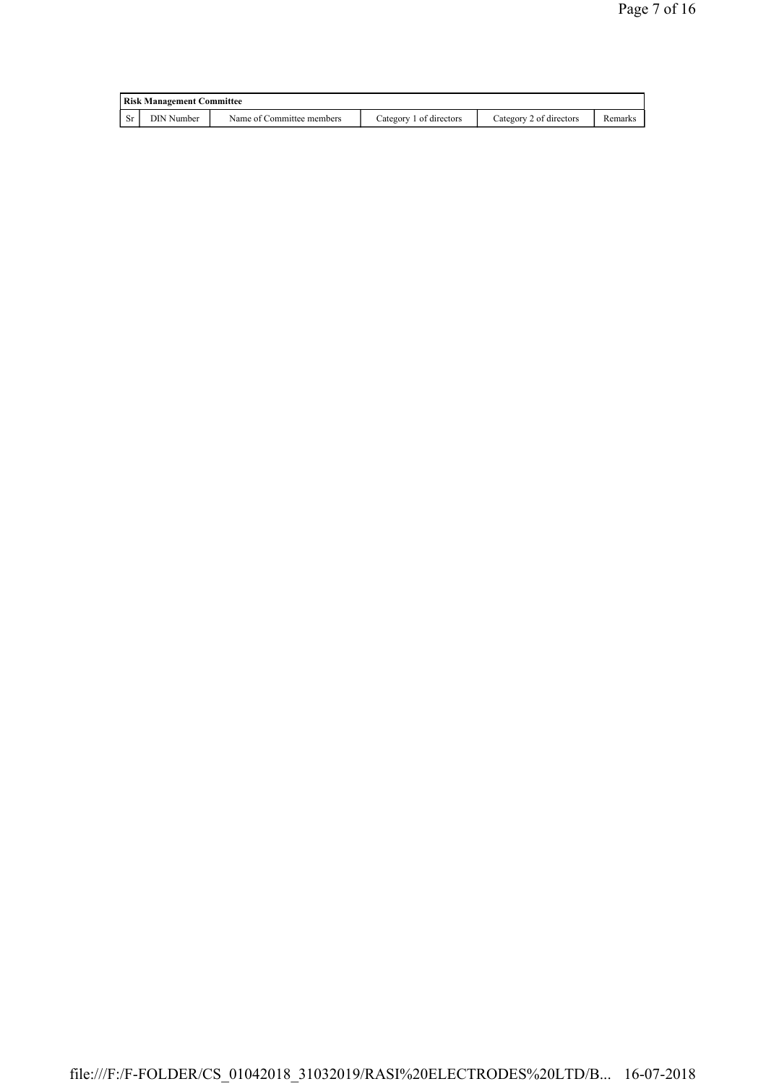| <b>Risk Management Committee</b> |                           |                         |                         |         |  |  |
|----------------------------------|---------------------------|-------------------------|-------------------------|---------|--|--|
| DIN Number                       | Name of Committee members | Category 1 of directors | Category 2 of directors | Remarks |  |  |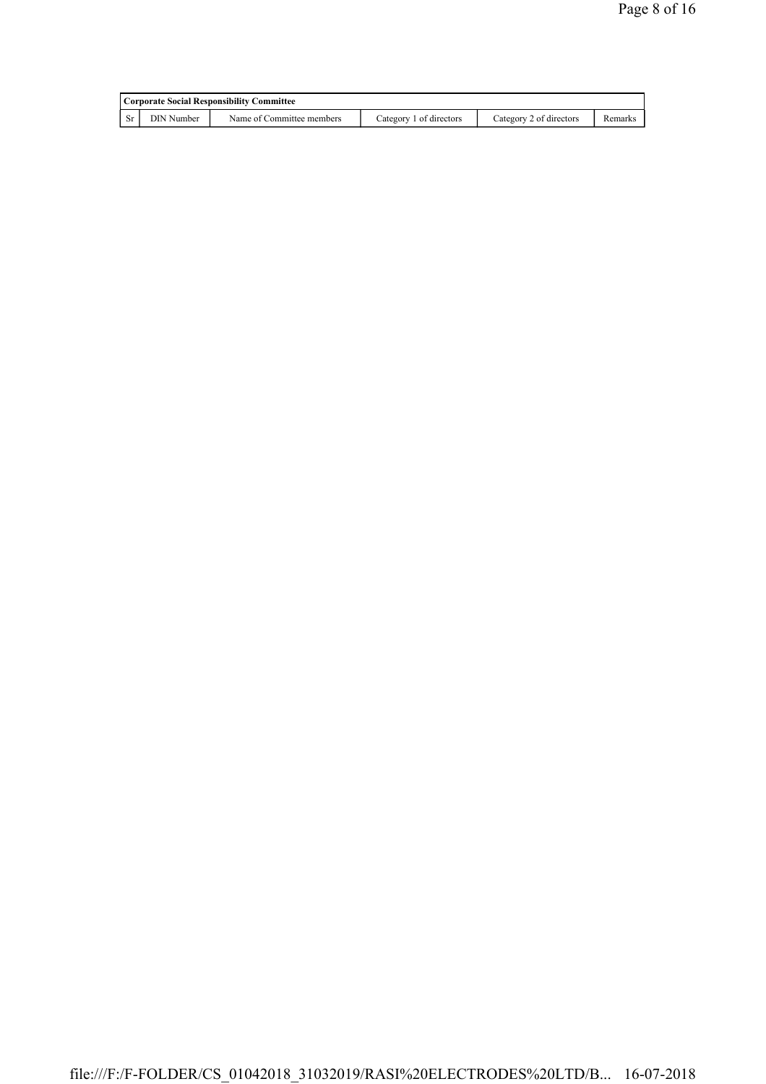| Corporate Social Responsibility Committee |                           |                         |                         |         |  |  |  |
|-------------------------------------------|---------------------------|-------------------------|-------------------------|---------|--|--|--|
| DIN Number                                | Name of Committee members | Category 1 of directors | Category 2 of directors | Remarks |  |  |  |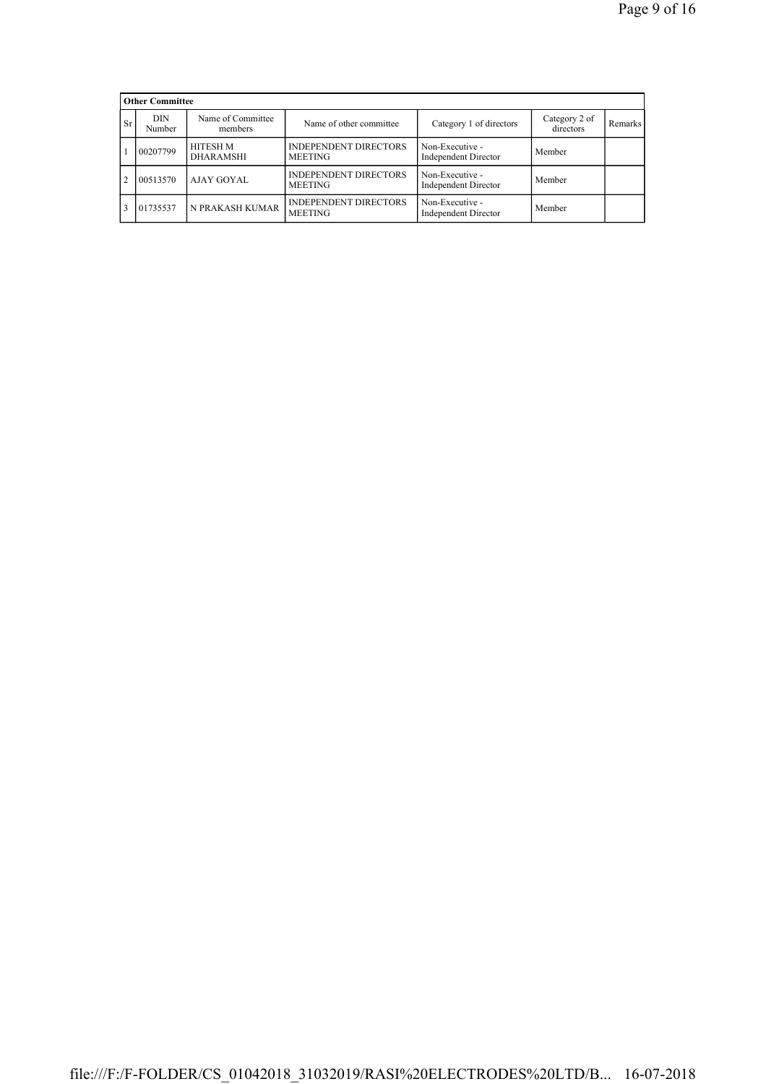|           | <b>Other Committee</b> |                                     |                                                |                                                |                            |           |
|-----------|------------------------|-------------------------------------|------------------------------------------------|------------------------------------------------|----------------------------|-----------|
| <b>Sr</b> | DIN<br>Number          | Name of Committee<br>members        | Name of other committee                        | Category 1 of directors                        | Category 2 of<br>directors | Remarks I |
|           | 00207799               | <b>HITESH M</b><br><b>DHARAMSHI</b> | <b>INDEPENDENT DIRECTORS</b><br><b>MEETING</b> | Non-Executive -<br><b>Independent Director</b> | Member                     |           |
| 2         | 00513570               | AJAY GOYAL                          | <b>INDEPENDENT DIRECTORS</b><br><b>MEETING</b> | Non-Executive -<br><b>Independent Director</b> | Member                     |           |
|           | 01735537               | N PRAKASH KUMAR                     | <b>INDEPENDENT DIRECTORS</b><br><b>MEETING</b> | Non-Executive -<br><b>Independent Director</b> | Member                     |           |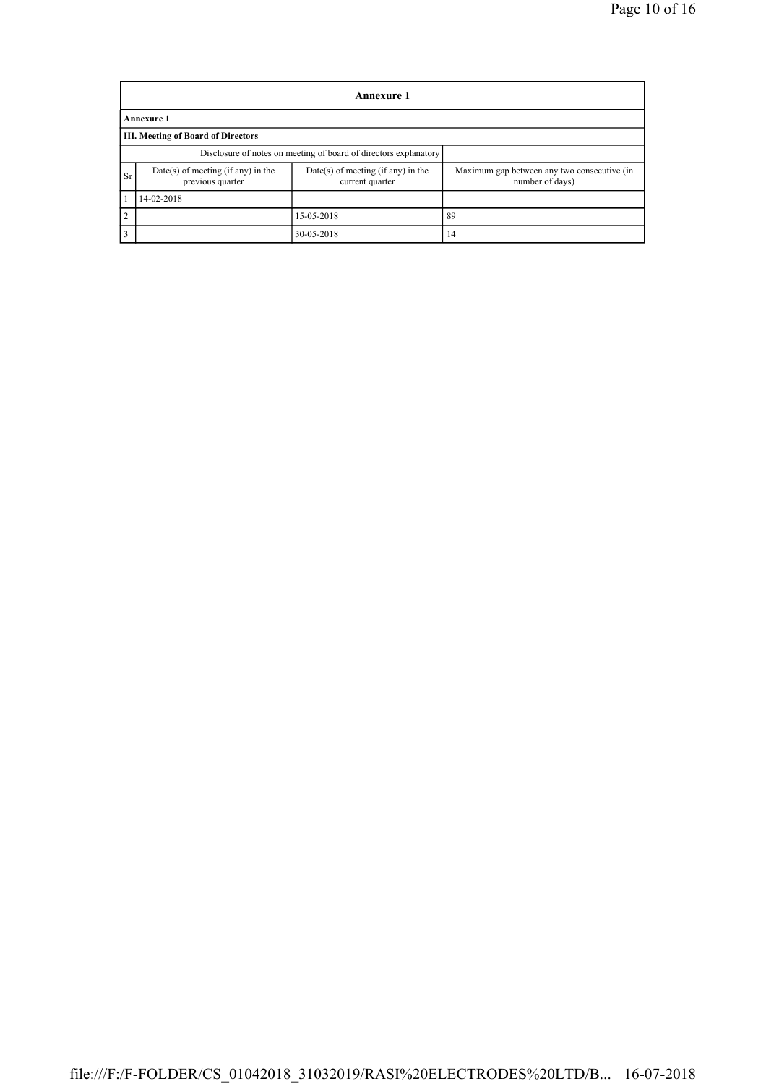|           | <b>Annexure 1</b>                                                |                                                       |                                                                |  |  |  |  |  |
|-----------|------------------------------------------------------------------|-------------------------------------------------------|----------------------------------------------------------------|--|--|--|--|--|
|           | <b>Annexure 1</b>                                                |                                                       |                                                                |  |  |  |  |  |
|           | <b>III. Meeting of Board of Directors</b>                        |                                                       |                                                                |  |  |  |  |  |
|           | Disclosure of notes on meeting of board of directors explanatory |                                                       |                                                                |  |  |  |  |  |
| <b>Sr</b> | Date(s) of meeting (if any) in the<br>previous quarter           | Date(s) of meeting (if any) in the<br>current quarter | Maximum gap between any two consecutive (in<br>number of days) |  |  |  |  |  |
|           | 14-02-2018                                                       |                                                       |                                                                |  |  |  |  |  |
| 2         |                                                                  | 15-05-2018                                            | 89                                                             |  |  |  |  |  |
| 3         |                                                                  | 30-05-2018                                            | 14                                                             |  |  |  |  |  |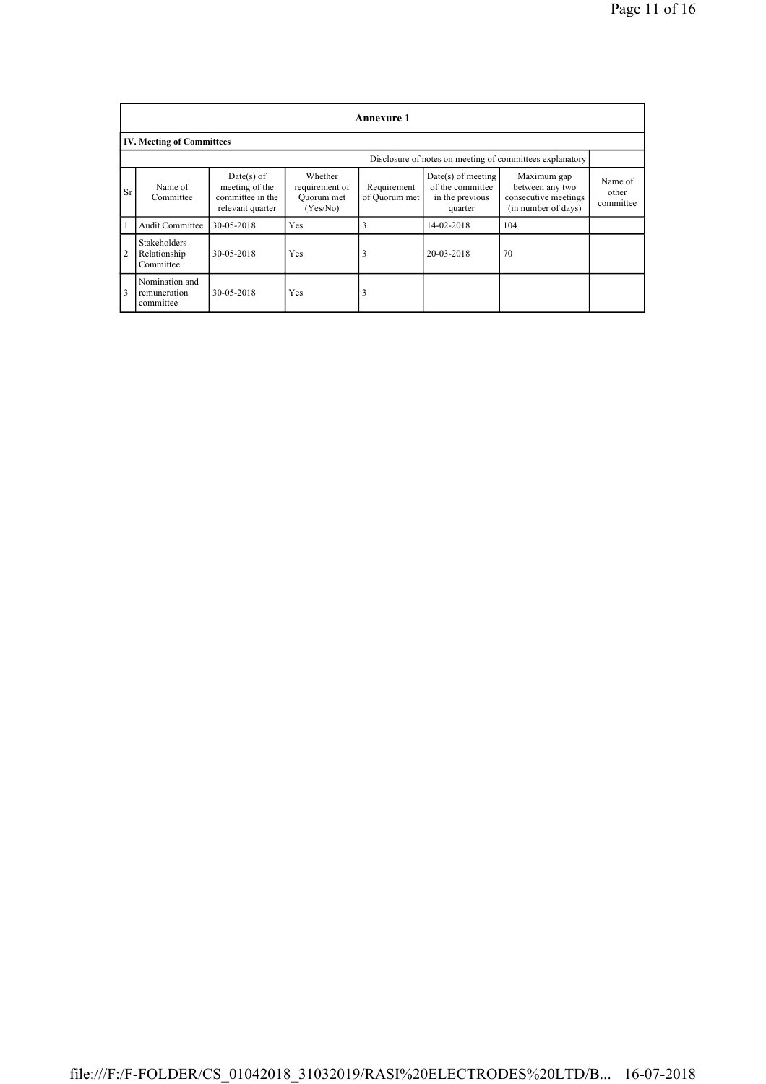|                | <b>Annexure 1</b>                                        |                                                                      |                                                     |                              |                                                                        |                                                                               |                               |
|----------------|----------------------------------------------------------|----------------------------------------------------------------------|-----------------------------------------------------|------------------------------|------------------------------------------------------------------------|-------------------------------------------------------------------------------|-------------------------------|
|                | <b>IV. Meeting of Committees</b>                         |                                                                      |                                                     |                              |                                                                        |                                                                               |                               |
|                | Disclosure of notes on meeting of committees explanatory |                                                                      |                                                     |                              |                                                                        |                                                                               |                               |
| <b>Sr</b>      | Name of<br>Committee                                     | Date(s) of<br>meeting of the<br>committee in the<br>relevant quarter | Whether<br>requirement of<br>Ouorum met<br>(Yes/No) | Requirement<br>of Quorum met | $Date(s)$ of meeting<br>of the committee<br>in the previous<br>quarter | Maximum gap<br>between any two<br>consecutive meetings<br>(in number of days) | Name of<br>other<br>committee |
| 1              | Audit Committee                                          | 30-05-2018                                                           | Yes                                                 | 3                            | 14-02-2018                                                             | 104                                                                           |                               |
| $\overline{2}$ | <b>Stakeholders</b><br>Relationship<br>Committee         | 30-05-2018                                                           | Yes                                                 | 3                            | 20-03-2018                                                             | 70                                                                            |                               |
| 3              | Nomination and<br>remuneration<br>committee              | 30-05-2018                                                           | Yes                                                 | 3                            |                                                                        |                                                                               |                               |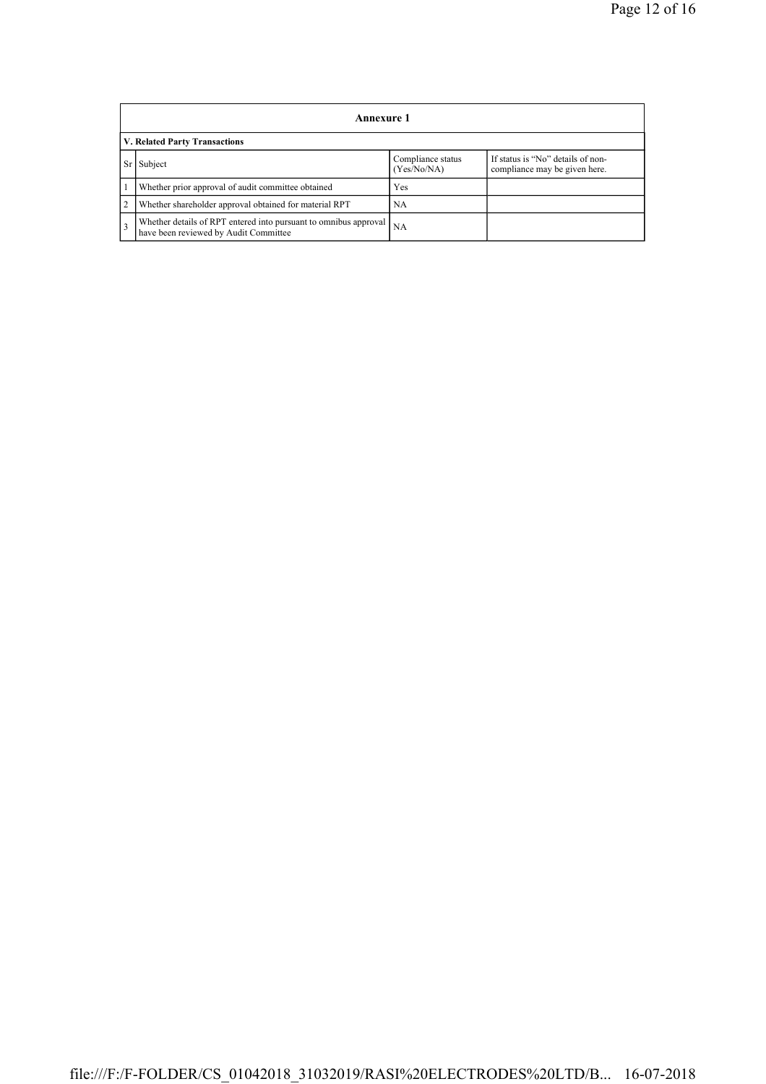|                | <b>Annexure 1</b>                                                                                         |                                  |                                                                    |  |  |  |  |  |
|----------------|-----------------------------------------------------------------------------------------------------------|----------------------------------|--------------------------------------------------------------------|--|--|--|--|--|
|                | V. Related Party Transactions                                                                             |                                  |                                                                    |  |  |  |  |  |
|                | Subject                                                                                                   | Compliance status<br>(Yes/No/NA) | If status is "No" details of non-<br>compliance may be given here. |  |  |  |  |  |
|                | Whether prior approval of audit committee obtained                                                        | Yes                              |                                                                    |  |  |  |  |  |
| 2              | Whether shareholder approval obtained for material RPT                                                    | <b>NA</b>                        |                                                                    |  |  |  |  |  |
| $\overline{3}$ | Whether details of RPT entered into pursuant to omnibus approval<br>have been reviewed by Audit Committee | NA                               |                                                                    |  |  |  |  |  |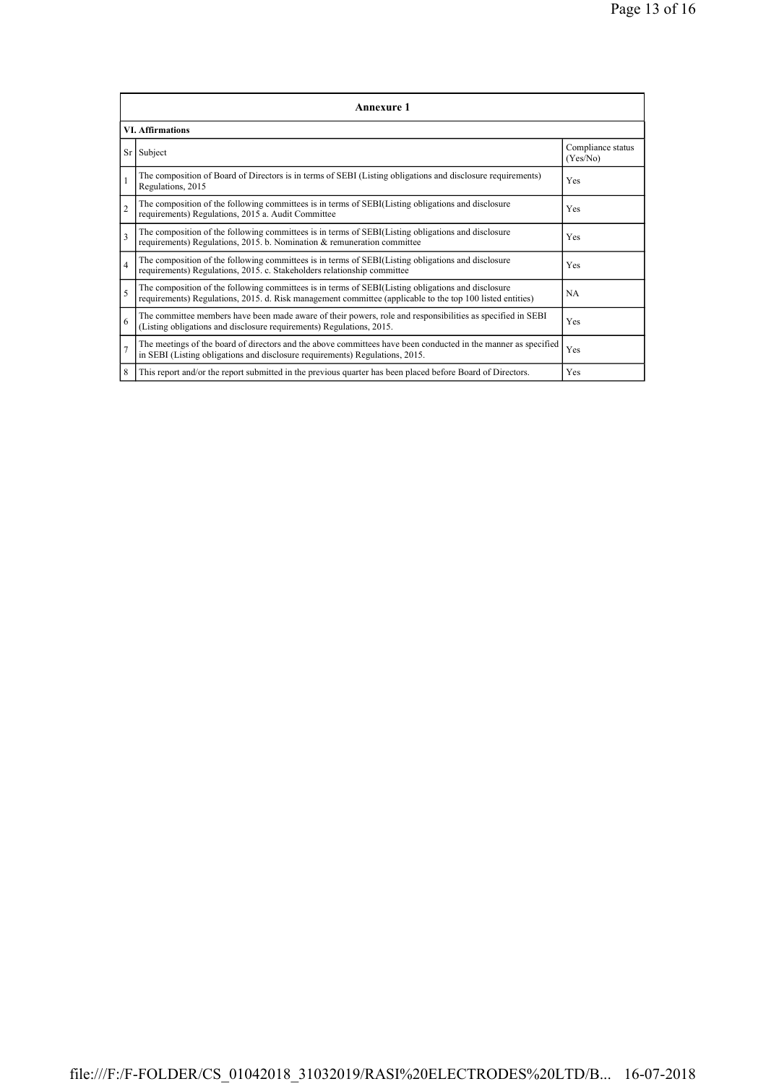| <b>Annexure 1</b>       |                                                                                                                                                                                                                 |                               |  |  |
|-------------------------|-----------------------------------------------------------------------------------------------------------------------------------------------------------------------------------------------------------------|-------------------------------|--|--|
| <b>VI. Affirmations</b> |                                                                                                                                                                                                                 |                               |  |  |
|                         | Sr Subject                                                                                                                                                                                                      | Compliance status<br>(Yes/No) |  |  |
| $\mathbf{1}$            | The composition of Board of Directors is in terms of SEBI (Listing obligations and disclosure requirements)<br>Regulations, 2015                                                                                | Yes                           |  |  |
| $\overline{2}$          | The composition of the following committees is in terms of SEBI(Listing obligations and disclosure<br>requirements) Regulations, 2015 a. Audit Committee                                                        | Yes                           |  |  |
| $\overline{\mathbf{3}}$ | The composition of the following committees is in terms of SEBI(Listing obligations and disclosure<br>requirements) Regulations, 2015. b. Nomination & remuneration committee                                   | <b>Yes</b>                    |  |  |
| $\overline{4}$          | The composition of the following committees is in terms of SEBI(Listing obligations and disclosure<br>requirements) Regulations, 2015. c. Stakeholders relationship committee                                   | Yes                           |  |  |
| 5                       | The composition of the following committees is in terms of SEBI(Listing obligations and disclosure<br>requirements) Regulations, 2015. d. Risk management committee (applicable to the top 100 listed entities) | <b>NA</b>                     |  |  |
| 6                       | The committee members have been made aware of their powers, role and responsibilities as specified in SEBI<br>(Listing obligations and disclosure requirements) Regulations, 2015.                              | Yes                           |  |  |
| $\overline{7}$          | The meetings of the board of directors and the above committees have been conducted in the manner as specified<br>in SEBI (Listing obligations and disclosure requirements) Regulations, 2015.                  | Yes                           |  |  |
| 8                       | This report and/or the report submitted in the previous quarter has been placed before Board of Directors.                                                                                                      | Yes                           |  |  |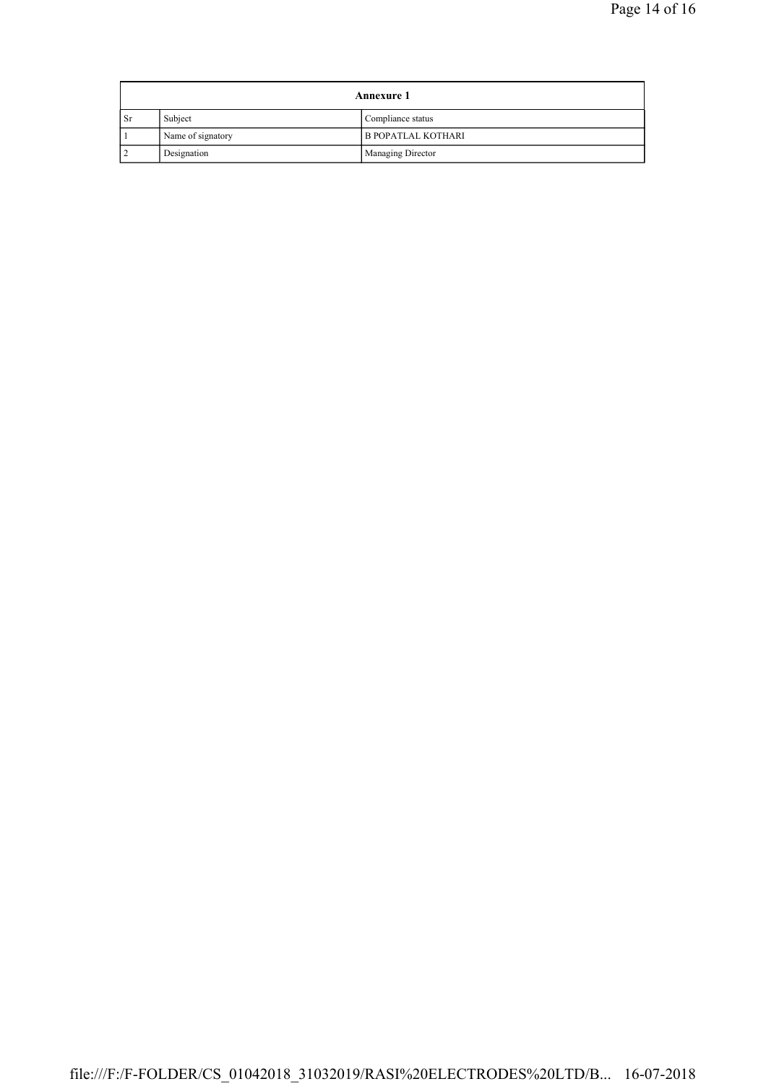| <b>Annexure 1</b> |                   |                           |
|-------------------|-------------------|---------------------------|
| <b>Sr</b>         | Subject           | Compliance status         |
|                   | Name of signatory | <b>B POPATLAL KOTHARI</b> |
|                   | Designation       | Managing Director         |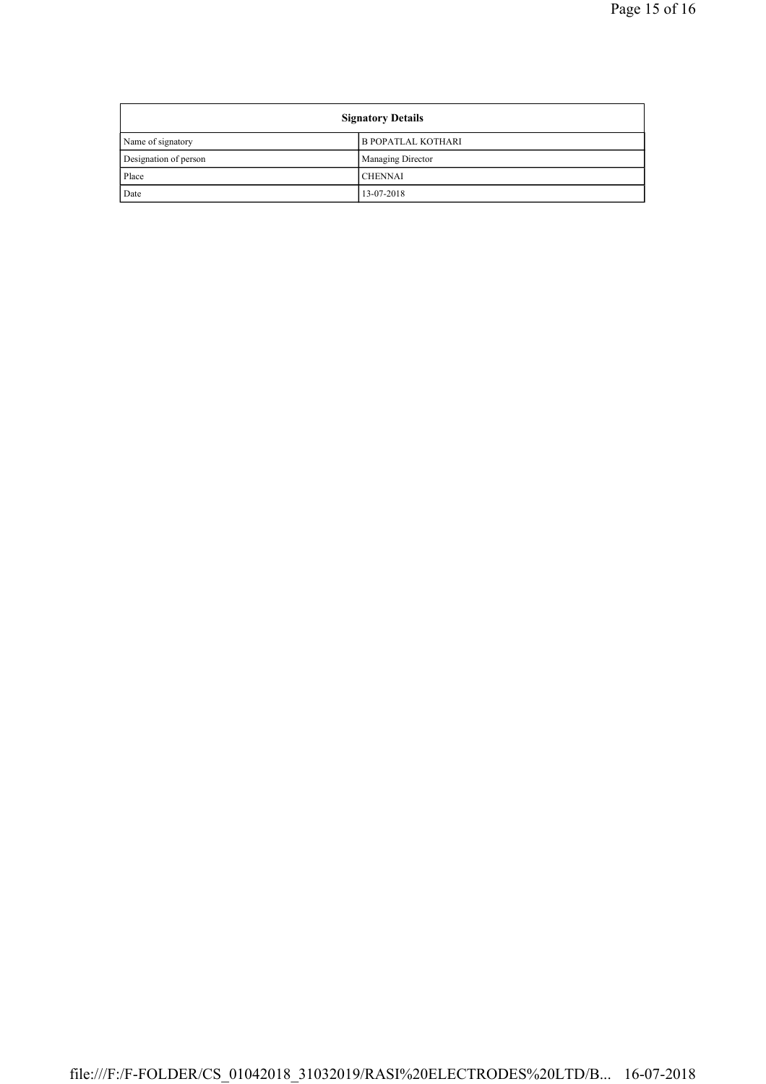| <b>Signatory Details</b> |                           |  |
|--------------------------|---------------------------|--|
| Name of signatory        | <b>B POPATLAL KOTHARI</b> |  |
| Designation of person    | <b>Managing Director</b>  |  |
| Place                    | <b>CHENNAI</b>            |  |
| Date                     | 13-07-2018                |  |